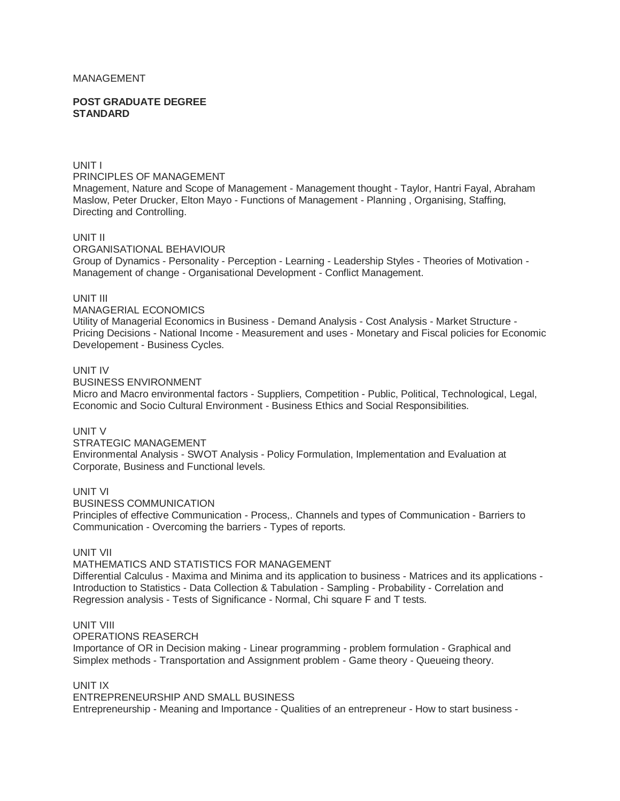## MANAGEMENT

#### **POST GRADUATE DEGREE STANDARD**

## UNIT I

PRINCIPLES OF MANAGEMENT

Mnagement, Nature and Scope of Management - Management thought - Taylor, Hantri Fayal, Abraham Maslow, Peter Drucker, Elton Mayo - Functions of Management - Planning , Organising, Staffing, Directing and Controlling.

## UNIT II

ORGANISATIONAL BEHAVIOUR Group of Dynamics - Personality - Perception - Learning - Leadership Styles - Theories of Motivation - Management of change - Organisational Development - Conflict Management.

#### UNIT III

#### MANAGERIAL ECONOMICS

Utility of Managerial Economics in Business - Demand Analysis - Cost Analysis - Market Structure - Pricing Decisions - National Income - Measurement and uses - Monetary and Fiscal policies for Economic Developement - Business Cycles.

#### UNIT IV

BUSINESS ENVIRONMENT

Micro and Macro environmental factors - Suppliers, Competition - Public, Political, Technological, Legal, Economic and Socio Cultural Environment - Business Ethics and Social Responsibilities.

## UNIT V

#### STRATEGIC MANAGEMENT Environmental Analysis - SWOT Analysis - Policy Formulation, Implementation and Evaluation at Corporate, Business and Functional levels.

## UNIT VI

BUSINESS COMMUNICATION

Principles of effective Communication - Process,. Channels and types of Communication - Barriers to Communication - Overcoming the barriers - Types of reports.

# UNIT VII

# MATHEMATICS AND STATISTICS FOR MANAGEMENT

Differential Calculus - Maxima and Minima and its application to business - Matrices and its applications - Introduction to Statistics - Data Collection & Tabulation - Sampling - Probability - Correlation and Regression analysis - Tests of Significance - Normal, Chi square F and T tests.

# UNIT VIII

OPERATIONS REASERCH

Importance of OR in Decision making - Linear programming - problem formulation - Graphical and Simplex methods - Transportation and Assignment problem - Game theory - Queueing theory.

## UNIT IX

ENTREPRENEURSHIP AND SMALL BUSINESS Entrepreneurship - Meaning and Importance - Qualities of an entrepreneur - How to start business -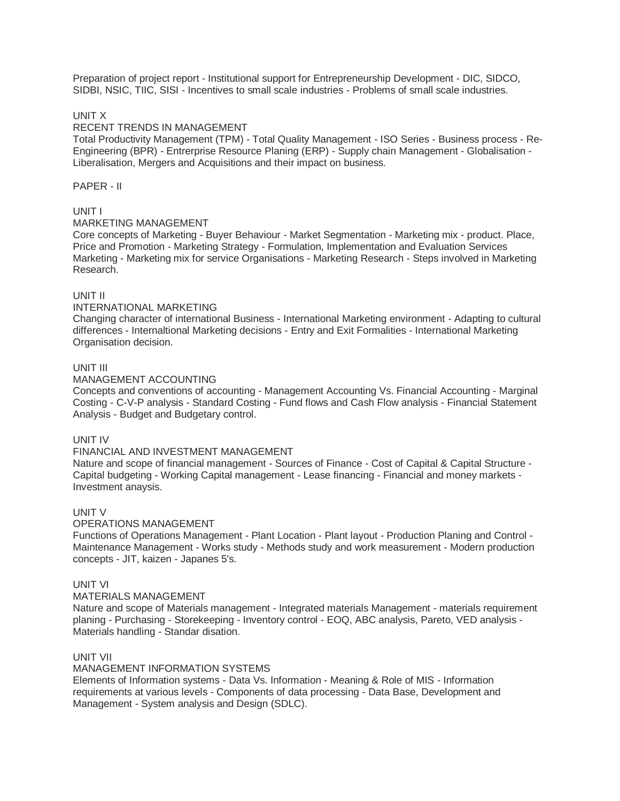Preparation of project report - Institutional support for Entrepreneurship Development - DIC, SIDCO, SIDBI, NSIC, TIIC, SISI - Incentives to small scale industries - Problems of small scale industries.

# UNIT X

## RECENT TRENDS IN MANAGEMENT

Total Productivity Management (TPM) - Total Quality Management - ISO Series - Business process - Re-Engineering (BPR) - Entrerprise Resource Planing (ERP) - Supply chain Management - Globalisation - Liberalisation, Mergers and Acquisitions and their impact on business.

# PAPER - II

# UNIT I

# MARKETING MANAGEMENT

Core concepts of Marketing - Buyer Behaviour - Market Segmentation - Marketing mix - product. Place, Price and Promotion - Marketing Strategy - Formulation, Implementation and Evaluation Services Marketing - Marketing mix for service Organisations - Marketing Research - Steps involved in Marketing Research.

# UNIT II

# INTERNATIONAL MARKETING

Changing character of international Business - International Marketing environment - Adapting to cultural differences - Internaltional Marketing decisions - Entry and Exit Formalities - International Marketing Organisation decision.

# UNIT III

## MANAGEMENT ACCOUNTING

Concepts and conventions of accounting - Management Accounting Vs. Financial Accounting - Marginal Costing - C-V-P analysis - Standard Costing - Fund flows and Cash Flow analysis - Financial Statement Analysis - Budget and Budgetary control.

# UNIT IV

## FINANCIAL AND INVESTMENT MANAGEMENT

Nature and scope of financial management - Sources of Finance - Cost of Capital & Capital Structure - Capital budgeting - Working Capital management - Lease financing - Financial and money markets - Investment anaysis.

## UNIT V

## OPERATIONS MANAGEMENT

Functions of Operations Management - Plant Location - Plant layout - Production Planing and Control - Maintenance Management - Works study - Methods study and work measurement - Modern production concepts - JIT, kaizen - Japanes 5's.

## UNIT VI

## MATERIALS MANAGEMENT

Nature and scope of Materials management - Integrated materials Management - materials requirement planing - Purchasing - Storekeeping - Inventory control - EOQ, ABC analysis, Pareto, VED analysis - Materials handling - Standar disation.

## UNIT VII

## MANAGEMENT INFORMATION SYSTEMS

Elements of Information systems - Data Vs. Information - Meaning & Role of MIS - Information requirements at various levels - Components of data processing - Data Base, Development and Management - System analysis and Design (SDLC).